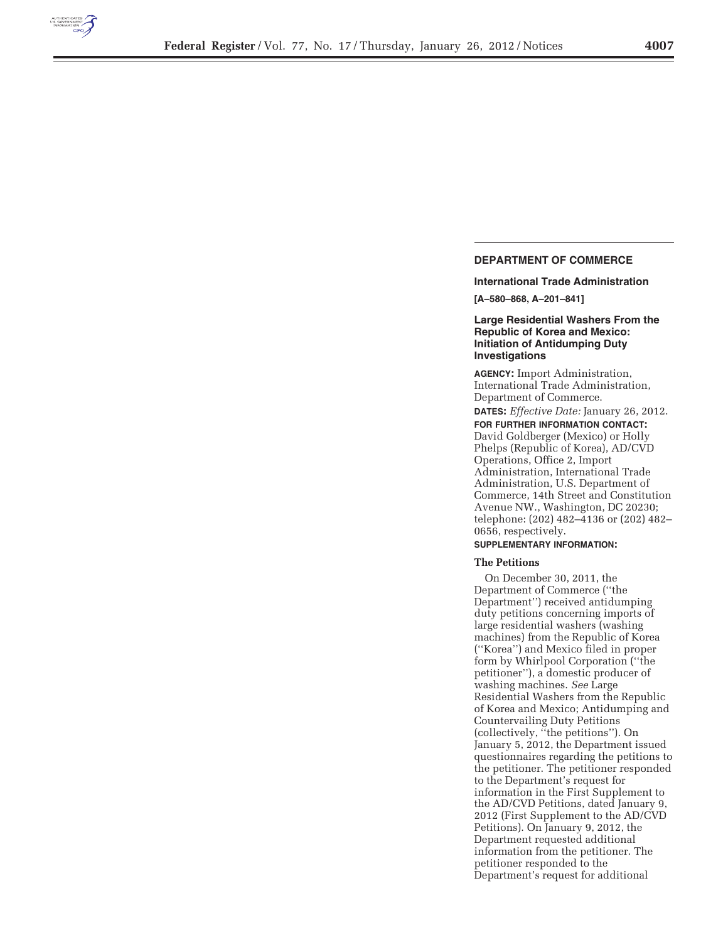

# **DEPARTMENT OF COMMERCE**

**International Trade Administration** 

**[A–580–868, A–201–841]** 

# **Large Residential Washers From the Republic of Korea and Mexico: Initiation of Antidumping Duty Investigations**

**AGENCY:** Import Administration, International Trade Administration, Department of Commerce.

**DATES:** *Effective Date:* January 26, 2012. **FOR FURTHER INFORMATION CONTACT:** 

David Goldberger (Mexico) or Holly Phelps (Republic of Korea), AD/CVD Operations, Office 2, Import Administration, International Trade Administration, U.S. Department of Commerce, 14th Street and Constitution Avenue NW., Washington, DC 20230; telephone: (202) 482–4136 or (202) 482– 0656, respectively.

### **SUPPLEMENTARY INFORMATION:**

# **The Petitions**

On December 30, 2011, the Department of Commerce (''the Department'') received antidumping duty petitions concerning imports of large residential washers (washing machines) from the Republic of Korea (''Korea'') and Mexico filed in proper form by Whirlpool Corporation (''the petitioner''), a domestic producer of washing machines. *See* Large Residential Washers from the Republic of Korea and Mexico; Antidumping and Countervailing Duty Petitions (collectively, ''the petitions''). On January 5, 2012, the Department issued questionnaires regarding the petitions to the petitioner. The petitioner responded to the Department's request for information in the First Supplement to the AD/CVD Petitions, dated January 9, 2012 (First Supplement to the AD/CVD Petitions). On January 9, 2012, the Department requested additional information from the petitioner. The petitioner responded to the Department's request for additional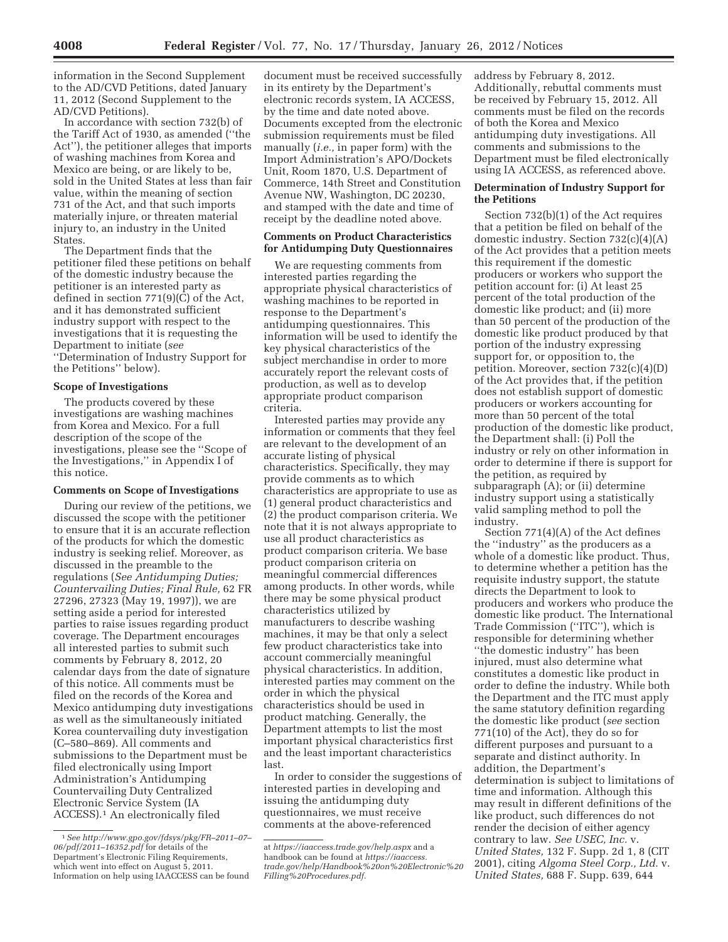information in the Second Supplement to the AD/CVD Petitions, dated January 11, 2012 (Second Supplement to the AD/CVD Petitions).

In accordance with section 732(b) of the Tariff Act of 1930, as amended (''the Act''), the petitioner alleges that imports of washing machines from Korea and Mexico are being, or are likely to be, sold in the United States at less than fair value, within the meaning of section 731 of the Act, and that such imports materially injure, or threaten material injury to, an industry in the United States.

The Department finds that the petitioner filed these petitions on behalf of the domestic industry because the petitioner is an interested party as defined in section 771(9)(C) of the Act, and it has demonstrated sufficient industry support with respect to the investigations that it is requesting the Department to initiate (*see*  ''Determination of Industry Support for the Petitions'' below).

## **Scope of Investigations**

The products covered by these investigations are washing machines from Korea and Mexico. For a full description of the scope of the investigations, please see the ''Scope of the Investigations,'' in Appendix I of this notice.

## **Comments on Scope of Investigations**

During our review of the petitions, we discussed the scope with the petitioner to ensure that it is an accurate reflection of the products for which the domestic industry is seeking relief. Moreover, as discussed in the preamble to the regulations (*See Antidumping Duties; Countervailing Duties; Final Rule,* 62 FR 27296, 27323 (May 19, 1997)), we are setting aside a period for interested parties to raise issues regarding product coverage. The Department encourages all interested parties to submit such comments by February 8, 2012, 20 calendar days from the date of signature of this notice. All comments must be filed on the records of the Korea and Mexico antidumping duty investigations as well as the simultaneously initiated Korea countervailing duty investigation (C–580–869). All comments and submissions to the Department must be filed electronically using Import Administration's Antidumping Countervailing Duty Centralized Electronic Service System (IA ACCESS).1 An electronically filed

document must be received successfully in its entirety by the Department's electronic records system, IA ACCESS, by the time and date noted above. Documents excepted from the electronic submission requirements must be filed manually (*i.e.,* in paper form) with the Import Administration's APO/Dockets Unit, Room 1870, U.S. Department of Commerce, 14th Street and Constitution Avenue NW, Washington, DC 20230, and stamped with the date and time of receipt by the deadline noted above.

# **Comments on Product Characteristics for Antidumping Duty Questionnaires**

We are requesting comments from interested parties regarding the appropriate physical characteristics of washing machines to be reported in response to the Department's antidumping questionnaires. This information will be used to identify the key physical characteristics of the subject merchandise in order to more accurately report the relevant costs of production, as well as to develop appropriate product comparison criteria.

Interested parties may provide any information or comments that they feel are relevant to the development of an accurate listing of physical characteristics. Specifically, they may provide comments as to which characteristics are appropriate to use as (1) general product characteristics and (2) the product comparison criteria. We note that it is not always appropriate to use all product characteristics as product comparison criteria. We base product comparison criteria on meaningful commercial differences among products. In other words, while there may be some physical product characteristics utilized by manufacturers to describe washing machines, it may be that only a select few product characteristics take into account commercially meaningful physical characteristics. In addition, interested parties may comment on the order in which the physical characteristics should be used in product matching. Generally, the Department attempts to list the most important physical characteristics first and the least important characteristics last.

In order to consider the suggestions of interested parties in developing and issuing the antidumping duty questionnaires, we must receive comments at the above-referenced

address by February 8, 2012. Additionally, rebuttal comments must be received by February 15, 2012. All comments must be filed on the records of both the Korea and Mexico antidumping duty investigations. All comments and submissions to the Department must be filed electronically using IA ACCESS, as referenced above.

# **Determination of Industry Support for the Petitions**

Section 732(b)(1) of the Act requires that a petition be filed on behalf of the domestic industry. Section 732(c)(4)(A) of the Act provides that a petition meets this requirement if the domestic producers or workers who support the petition account for: (i) At least 25 percent of the total production of the domestic like product; and (ii) more than 50 percent of the production of the domestic like product produced by that portion of the industry expressing support for, or opposition to, the petition. Moreover, section 732(c)(4)(D) of the Act provides that, if the petition does not establish support of domestic producers or workers accounting for more than 50 percent of the total production of the domestic like product, the Department shall: (i) Poll the industry or rely on other information in order to determine if there is support for the petition, as required by subparagraph (A); or (ii) determine industry support using a statistically valid sampling method to poll the industry.

Section 771(4)(A) of the Act defines the ''industry'' as the producers as a whole of a domestic like product. Thus, to determine whether a petition has the requisite industry support, the statute directs the Department to look to producers and workers who produce the domestic like product. The International Trade Commission (''ITC''), which is responsible for determining whether ''the domestic industry'' has been injured, must also determine what constitutes a domestic like product in order to define the industry. While both the Department and the ITC must apply the same statutory definition regarding the domestic like product (*see* section 771(10) of the Act), they do so for different purposes and pursuant to a separate and distinct authority. In addition, the Department's determination is subject to limitations of time and information. Although this may result in different definitions of the like product, such differences do not render the decision of either agency contrary to law. *See USEC, Inc.* v. *United States,* 132 F. Supp. 2d 1, 8 (CIT 2001), citing *Algoma Steel Corp., Ltd.* v. *United States,* 688 F. Supp. 639, 644

<sup>1</sup>*See http://www.gpo.gov/fdsys/pkg/FR–2011–07– 06/pdf/2011–16352.pdf* for details of the Department's Electronic Filing Requirements, which went into effect on August 5, 2011. Information on help using IAACCESS can be found

at *https://iaaccess.trade.gov/help.aspx* and a handbook can be found at *https://iaaccess. trade.gov/help/Handbook%20on%20Electronic%20 Filling%20Procedures.pdf.*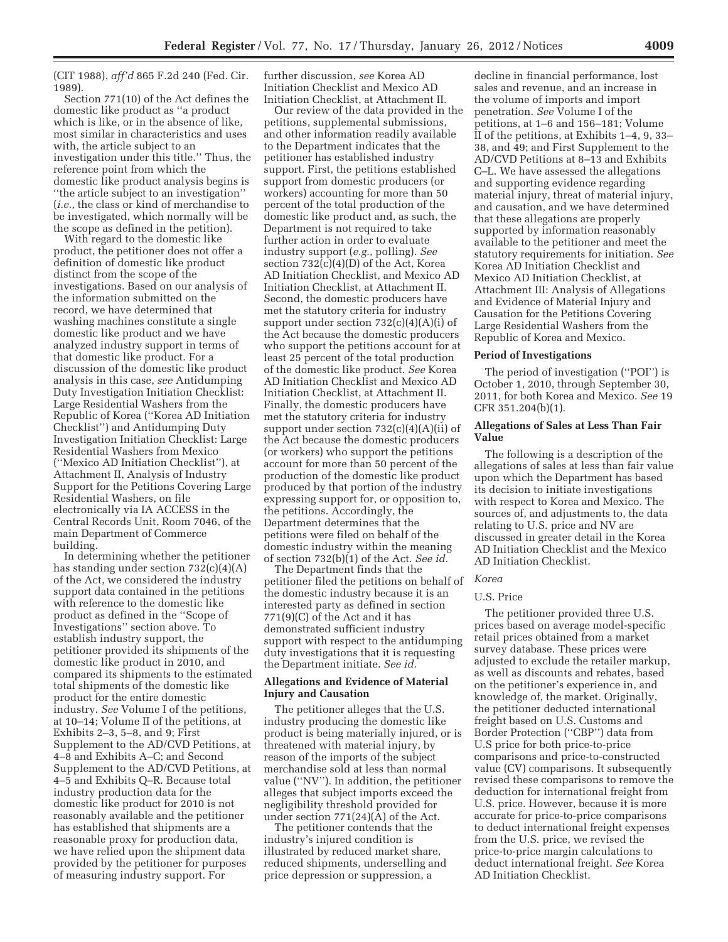(CIT 1988), *aff'd* 865 F.2d 240 (Fed. Cir. 1989).

Section 771(10) of the Act defines the domestic like product as ''a product which is like, or in the absence of like, most similar in characteristics and uses with, the article subject to an investigation under this title.'' Thus, the reference point from which the domestic like product analysis begins is ''the article subject to an investigation'' (*i.e.,* the class or kind of merchandise to be investigated, which normally will be the scope as defined in the petition).

With regard to the domestic like product, the petitioner does not offer a definition of domestic like product distinct from the scope of the investigations. Based on our analysis of the information submitted on the record, we have determined that washing machines constitute a single domestic like product and we have analyzed industry support in terms of that domestic like product. For a discussion of the domestic like product analysis in this case, *see* Antidumping Duty Investigation Initiation Checklist: Large Residential Washers from the Republic of Korea (''Korea AD Initiation Checklist'') and Antidumping Duty Investigation Initiation Checklist: Large Residential Washers from Mexico (''Mexico AD Initiation Checklist''), at Attachment II, Analysis of Industry Support for the Petitions Covering Large Residential Washers, on file electronically via IA ACCESS in the Central Records Unit, Room 7046, of the main Department of Commerce building.

In determining whether the petitioner has standing under section 732(c)(4)(A) of the Act, we considered the industry support data contained in the petitions with reference to the domestic like product as defined in the ''Scope of Investigations'' section above. To establish industry support, the petitioner provided its shipments of the domestic like product in 2010, and compared its shipments to the estimated total shipments of the domestic like product for the entire domestic industry. *See* Volume I of the petitions, at 10–14; Volume II of the petitions, at Exhibits 2–3, 5–8, and 9; First Supplement to the AD/CVD Petitions, at 4–8 and Exhibits A–C; and Second Supplement to the AD/CVD Petitions, at 4–5 and Exhibits Q–R. Because total industry production data for the domestic like product for 2010 is not reasonably available and the petitioner has established that shipments are a reasonable proxy for production data, we have relied upon the shipment data provided by the petitioner for purposes of measuring industry support. For

further discussion, *see* Korea AD Initiation Checklist and Mexico AD Initiation Checklist, at Attachment II.

Our review of the data provided in the petitions, supplemental submissions, and other information readily available to the Department indicates that the petitioner has established industry support. First, the petitions established support from domestic producers (or workers) accounting for more than 50 percent of the total production of the domestic like product and, as such, the Department is not required to take further action in order to evaluate industry support (*e.g.,* polling). *See*  section 732(c)(4)(D) of the Act, Korea AD Initiation Checklist, and Mexico AD Initiation Checklist, at Attachment II. Second, the domestic producers have met the statutory criteria for industry support under section  $732(c)(4)(A)(i)$  of the Act because the domestic producers who support the petitions account for at least 25 percent of the total production of the domestic like product. *See* Korea AD Initiation Checklist and Mexico AD Initiation Checklist, at Attachment II. Finally, the domestic producers have met the statutory criteria for industry support under section  $732(c)(4)(A)(ii)$  of the Act because the domestic producers (or workers) who support the petitions account for more than 50 percent of the production of the domestic like product produced by that portion of the industry expressing support for, or opposition to, the petitions. Accordingly, the Department determines that the petitions were filed on behalf of the domestic industry within the meaning of section 732(b)(1) of the Act. *See id.* 

The Department finds that the petitioner filed the petitions on behalf of the domestic industry because it is an interested party as defined in section 771(9)(C) of the Act and it has demonstrated sufficient industry support with respect to the antidumping duty investigations that it is requesting the Department initiate. *See id.* 

# **Allegations and Evidence of Material Injury and Causation**

The petitioner alleges that the U.S. industry producing the domestic like product is being materially injured, or is threatened with material injury, by reason of the imports of the subject merchandise sold at less than normal value (''NV''). In addition, the petitioner alleges that subject imports exceed the negligibility threshold provided for under section 771(24)(A) of the Act.

The petitioner contends that the industry's injured condition is illustrated by reduced market share, reduced shipments, underselling and price depression or suppression, a

decline in financial performance, lost sales and revenue, and an increase in the volume of imports and import penetration. *See* Volume I of the petitions, at 1–6 and 156–181; Volume II of the petitions, at Exhibits 1–4, 9, 33– 38, and 49; and First Supplement to the AD/CVD Petitions at 8–13 and Exhibits C–L. We have assessed the allegations and supporting evidence regarding material injury, threat of material injury, and causation, and we have determined that these allegations are properly supported by information reasonably available to the petitioner and meet the statutory requirements for initiation. *See*  Korea AD Initiation Checklist and Mexico AD Initiation Checklist, at Attachment III: Analysis of Allegations and Evidence of Material Injury and Causation for the Petitions Covering Large Residential Washers from the Republic of Korea and Mexico.

#### **Period of Investigations**

The period of investigation (''POI'') is October 1, 2010, through September 30, 2011, for both Korea and Mexico. *See* 19 CFR 351.204(b)(1).

# **Allegations of Sales at Less Than Fair Value**

The following is a description of the allegations of sales at less than fair value upon which the Department has based its decision to initiate investigations with respect to Korea and Mexico. The sources of, and adjustments to, the data relating to U.S. price and NV are discussed in greater detail in the Korea AD Initiation Checklist and the Mexico AD Initiation Checklist.

### *Korea*

## U.S. Price

The petitioner provided three U.S. prices based on average model-specific retail prices obtained from a market survey database. These prices were adjusted to exclude the retailer markup, as well as discounts and rebates, based on the petitioner's experience in, and knowledge of, the market. Originally, the petitioner deducted international freight based on U.S. Customs and Border Protection (''CBP'') data from U.S price for both price-to-price comparisons and price-to-constructed value (CV) comparisons. It subsequently revised these comparisons to remove the deduction for international freight from U.S. price. However, because it is more accurate for price-to-price comparisons to deduct international freight expenses from the U.S. price, we revised the price-to-price margin calculations to deduct international freight. *See* Korea AD Initiation Checklist.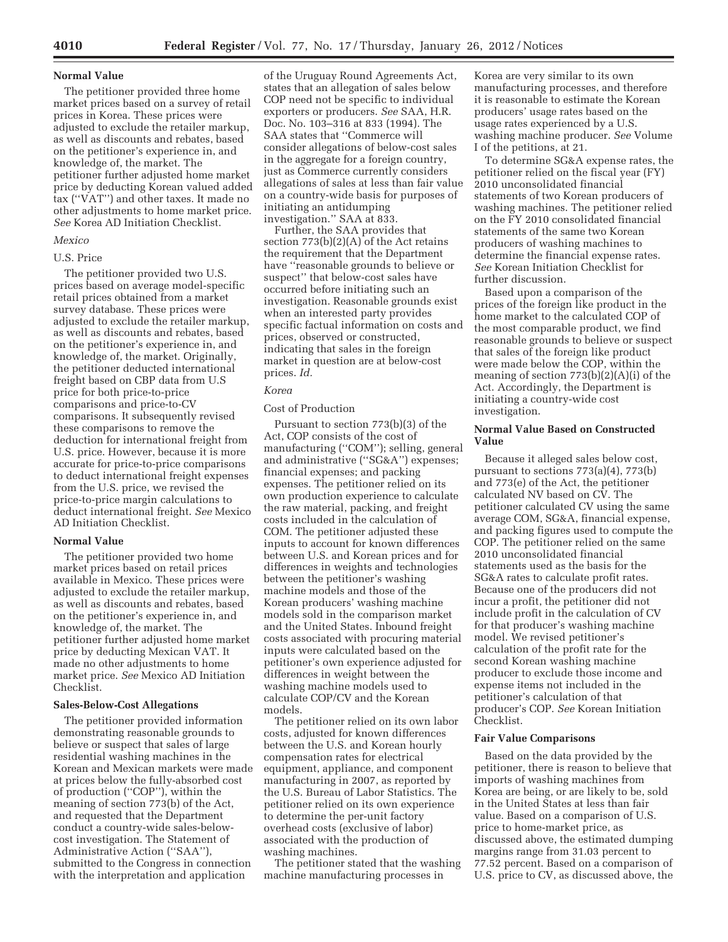### **Normal Value**

The petitioner provided three home market prices based on a survey of retail prices in Korea. These prices were adjusted to exclude the retailer markup, as well as discounts and rebates, based on the petitioner's experience in, and knowledge of, the market. The petitioner further adjusted home market price by deducting Korean valued added tax (''VAT'') and other taxes. It made no other adjustments to home market price. *See* Korea AD Initiation Checklist.

### *Mexico*

# U.S. Price

The petitioner provided two U.S. prices based on average model-specific retail prices obtained from a market survey database. These prices were adjusted to exclude the retailer markup, as well as discounts and rebates, based on the petitioner's experience in, and knowledge of, the market. Originally, the petitioner deducted international freight based on CBP data from U.S price for both price-to-price comparisons and price-to-CV comparisons. It subsequently revised these comparisons to remove the deduction for international freight from U.S. price. However, because it is more accurate for price-to-price comparisons to deduct international freight expenses from the U.S. price, we revised the price-to-price margin calculations to deduct international freight. *See* Mexico AD Initiation Checklist.

## **Normal Value**

The petitioner provided two home market prices based on retail prices available in Mexico. These prices were adjusted to exclude the retailer markup, as well as discounts and rebates, based on the petitioner's experience in, and knowledge of, the market. The petitioner further adjusted home market price by deducting Mexican VAT. It made no other adjustments to home market price. *See* Mexico AD Initiation Checklist.

#### **Sales-Below-Cost Allegations**

The petitioner provided information demonstrating reasonable grounds to believe or suspect that sales of large residential washing machines in the Korean and Mexican markets were made at prices below the fully-absorbed cost of production (''COP''), within the meaning of section 773(b) of the Act, and requested that the Department conduct a country-wide sales-belowcost investigation. The Statement of Administrative Action (''SAA''), submitted to the Congress in connection with the interpretation and application

of the Uruguay Round Agreements Act, states that an allegation of sales below COP need not be specific to individual exporters or producers. *See* SAA, H.R. Doc. No. 103–316 at 833 (1994). The SAA states that ''Commerce will consider allegations of below-cost sales in the aggregate for a foreign country, just as Commerce currently considers allegations of sales at less than fair value on a country-wide basis for purposes of initiating an antidumping investigation.'' SAA at 833.

Further, the SAA provides that section 773(b)(2)(A) of the Act retains the requirement that the Department have ''reasonable grounds to believe or suspect'' that below-cost sales have occurred before initiating such an investigation. Reasonable grounds exist when an interested party provides specific factual information on costs and prices, observed or constructed, indicating that sales in the foreign market in question are at below-cost prices. *Id.* 

# *Korea*

# Cost of Production

Pursuant to section 773(b)(3) of the Act, COP consists of the cost of manufacturing ("COM"); selling, general and administrative (''SG&A'') expenses; financial expenses; and packing expenses. The petitioner relied on its own production experience to calculate the raw material, packing, and freight costs included in the calculation of COM. The petitioner adjusted these inputs to account for known differences between U.S. and Korean prices and for differences in weights and technologies between the petitioner's washing machine models and those of the Korean producers' washing machine models sold in the comparison market and the United States. Inbound freight costs associated with procuring material inputs were calculated based on the petitioner's own experience adjusted for differences in weight between the washing machine models used to calculate COP/CV and the Korean models.

The petitioner relied on its own labor costs, adjusted for known differences between the U.S. and Korean hourly compensation rates for electrical equipment, appliance, and component manufacturing in 2007, as reported by the U.S. Bureau of Labor Statistics. The petitioner relied on its own experience to determine the per-unit factory overhead costs (exclusive of labor) associated with the production of washing machines.

The petitioner stated that the washing machine manufacturing processes in

Korea are very similar to its own manufacturing processes, and therefore it is reasonable to estimate the Korean producers' usage rates based on the usage rates experienced by a U.S. washing machine producer. *See* Volume I of the petitions, at 21.

To determine SG&A expense rates, the petitioner relied on the fiscal year (FY) 2010 unconsolidated financial statements of two Korean producers of washing machines. The petitioner relied on the FY 2010 consolidated financial statements of the same two Korean producers of washing machines to determine the financial expense rates. *See* Korean Initiation Checklist for further discussion.

Based upon a comparison of the prices of the foreign like product in the home market to the calculated COP of the most comparable product, we find reasonable grounds to believe or suspect that sales of the foreign like product were made below the COP, within the meaning of section 773(b)(2)(A)(i) of the Act. Accordingly, the Department is initiating a country-wide cost investigation.

# **Normal Value Based on Constructed Value**

Because it alleged sales below cost, pursuant to sections 773(a)(4), 773(b) and 773(e) of the Act, the petitioner calculated NV based on CV. The petitioner calculated CV using the same average COM, SG&A, financial expense, and packing figures used to compute the COP. The petitioner relied on the same 2010 unconsolidated financial statements used as the basis for the SG&A rates to calculate profit rates. Because one of the producers did not incur a profit, the petitioner did not include profit in the calculation of CV for that producer's washing machine model. We revised petitioner's calculation of the profit rate for the second Korean washing machine producer to exclude those income and expense items not included in the petitioner's calculation of that producer's COP. *See* Korean Initiation Checklist.

# **Fair Value Comparisons**

Based on the data provided by the petitioner, there is reason to believe that imports of washing machines from Korea are being, or are likely to be, sold in the United States at less than fair value. Based on a comparison of U.S. price to home-market price, as discussed above, the estimated dumping margins range from 31.03 percent to 77.52 percent. Based on a comparison of U.S. price to CV, as discussed above, the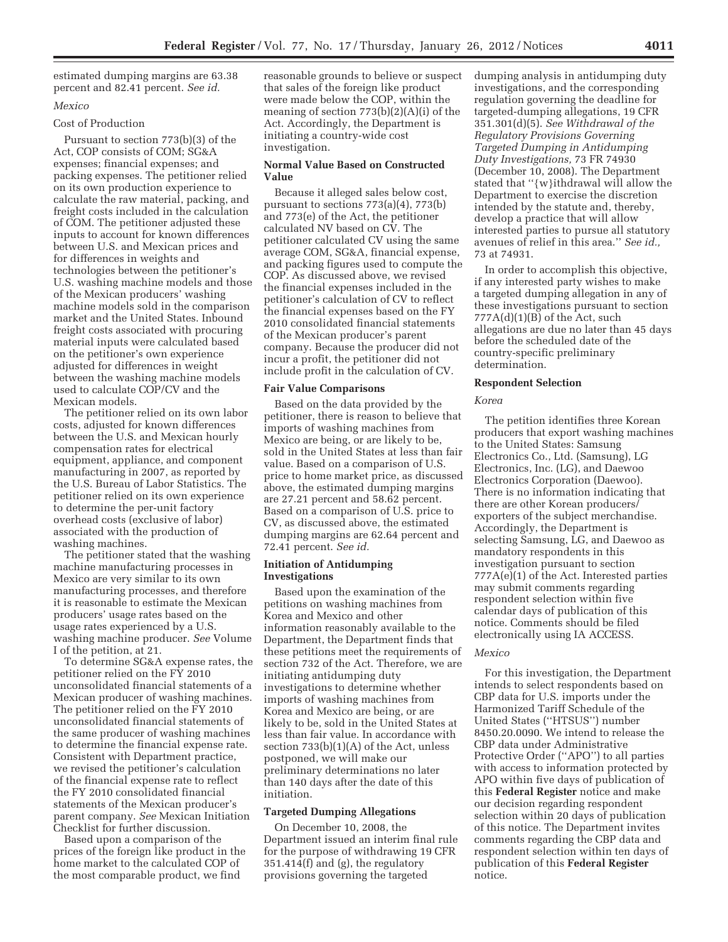estimated dumping margins are 63.38 percent and 82.41 percent. *See id.* 

## *Mexico*

### Cost of Production

Pursuant to section 773(b)(3) of the Act, COP consists of COM; SG&A expenses; financial expenses; and packing expenses. The petitioner relied on its own production experience to calculate the raw material, packing, and freight costs included in the calculation of COM. The petitioner adjusted these inputs to account for known differences between U.S. and Mexican prices and for differences in weights and technologies between the petitioner's U.S. washing machine models and those of the Mexican producers' washing machine models sold in the comparison market and the United States. Inbound freight costs associated with procuring material inputs were calculated based on the petitioner's own experience adjusted for differences in weight between the washing machine models used to calculate COP/CV and the Mexican models.

The petitioner relied on its own labor costs, adjusted for known differences between the U.S. and Mexican hourly compensation rates for electrical equipment, appliance, and component manufacturing in 2007, as reported by the U.S. Bureau of Labor Statistics. The petitioner relied on its own experience to determine the per-unit factory overhead costs (exclusive of labor) associated with the production of washing machines.

The petitioner stated that the washing machine manufacturing processes in Mexico are very similar to its own manufacturing processes, and therefore it is reasonable to estimate the Mexican producers' usage rates based on the usage rates experienced by a U.S. washing machine producer. *See* Volume I of the petition, at 21.

To determine SG&A expense rates, the petitioner relied on the FY 2010 unconsolidated financial statements of a Mexican producer of washing machines. The petitioner relied on the FY 2010 unconsolidated financial statements of the same producer of washing machines to determine the financial expense rate. Consistent with Department practice, we revised the petitioner's calculation of the financial expense rate to reflect the FY 2010 consolidated financial statements of the Mexican producer's parent company. *See* Mexican Initiation Checklist for further discussion.

Based upon a comparison of the prices of the foreign like product in the home market to the calculated COP of the most comparable product, we find

reasonable grounds to believe or suspect that sales of the foreign like product were made below the COP, within the meaning of section 773(b)(2)(A)(i) of the Act. Accordingly, the Department is initiating a country-wide cost investigation.

# **Normal Value Based on Constructed Value**

Because it alleged sales below cost, pursuant to sections 773(a)(4), 773(b) and 773(e) of the Act, the petitioner calculated NV based on CV. The petitioner calculated CV using the same average COM, SG&A, financial expense, and packing figures used to compute the COP. As discussed above, we revised the financial expenses included in the petitioner's calculation of CV to reflect the financial expenses based on the FY 2010 consolidated financial statements of the Mexican producer's parent company. Because the producer did not incur a profit, the petitioner did not include profit in the calculation of CV.

### **Fair Value Comparisons**

Based on the data provided by the petitioner, there is reason to believe that imports of washing machines from Mexico are being, or are likely to be, sold in the United States at less than fair value. Based on a comparison of U.S. price to home market price, as discussed above, the estimated dumping margins are 27.21 percent and 58.62 percent. Based on a comparison of U.S. price to CV, as discussed above, the estimated dumping margins are 62.64 percent and 72.41 percent. *See id.* 

# **Initiation of Antidumping Investigations**

Based upon the examination of the petitions on washing machines from Korea and Mexico and other information reasonably available to the Department, the Department finds that these petitions meet the requirements of section 732 of the Act. Therefore, we are initiating antidumping duty investigations to determine whether imports of washing machines from Korea and Mexico are being, or are likely to be, sold in the United States at less than fair value. In accordance with section 733(b)(1)(A) of the Act, unless postponed, we will make our preliminary determinations no later than 140 days after the date of this initiation.

### **Targeted Dumping Allegations**

On December 10, 2008, the Department issued an interim final rule for the purpose of withdrawing 19 CFR 351.414(f) and (g), the regulatory provisions governing the targeted

dumping analysis in antidumping duty investigations, and the corresponding regulation governing the deadline for targeted-dumping allegations, 19 CFR 351.301(d)(5). *See Withdrawal of the Regulatory Provisions Governing Targeted Dumping in Antidumping Duty Investigations,* 73 FR 74930 (December 10, 2008). The Department stated that ''{w}ithdrawal will allow the Department to exercise the discretion intended by the statute and, thereby, develop a practice that will allow interested parties to pursue all statutory avenues of relief in this area.'' *See id.,*  73 at 74931.

In order to accomplish this objective, if any interested party wishes to make a targeted dumping allegation in any of these investigations pursuant to section  $777A(d)(1)(B)$  of the Act, such allegations are due no later than 45 days before the scheduled date of the country-specific preliminary determination.

## **Respondent Selection**

### *Korea*

The petition identifies three Korean producers that export washing machines to the United States: Samsung Electronics Co., Ltd. (Samsung), LG Electronics, Inc. (LG), and Daewoo Electronics Corporation (Daewoo). There is no information indicating that there are other Korean producers/ exporters of the subject merchandise. Accordingly, the Department is selecting Samsung, LG, and Daewoo as mandatory respondents in this investigation pursuant to section 777A(e)(1) of the Act. Interested parties may submit comments regarding respondent selection within five calendar days of publication of this notice. Comments should be filed electronically using IA ACCESS.

#### *Mexico*

For this investigation, the Department intends to select respondents based on CBP data for U.S. imports under the Harmonized Tariff Schedule of the United States (''HTSUS'') number 8450.20.0090. We intend to release the CBP data under Administrative Protective Order (''APO'') to all parties with access to information protected by APO within five days of publication of this **Federal Register** notice and make our decision regarding respondent selection within 20 days of publication of this notice. The Department invites comments regarding the CBP data and respondent selection within ten days of publication of this **Federal Register**  notice.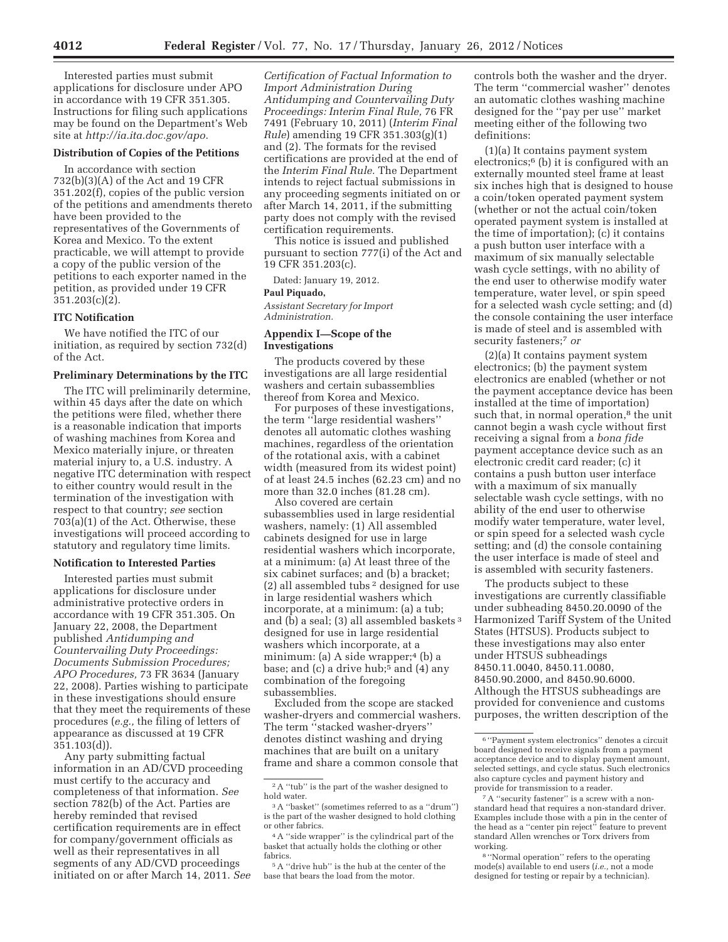Interested parties must submit applications for disclosure under APO in accordance with 19 CFR 351.305. Instructions for filing such applications may be found on the Department's Web site at *http://ia.ita.doc.gov/apo.* 

# **Distribution of Copies of the Petitions**

In accordance with section 732(b)(3)(A) of the Act and 19 CFR 351.202(f), copies of the public version of the petitions and amendments thereto have been provided to the representatives of the Governments of Korea and Mexico. To the extent practicable, we will attempt to provide a copy of the public version of the petitions to each exporter named in the petition, as provided under 19 CFR 351.203(c)(2).

## **ITC Notification**

We have notified the ITC of our initiation, as required by section 732(d) of the Act.

#### **Preliminary Determinations by the ITC**

The ITC will preliminarily determine, within 45 days after the date on which the petitions were filed, whether there is a reasonable indication that imports of washing machines from Korea and Mexico materially injure, or threaten material injury to, a U.S. industry. A negative ITC determination with respect to either country would result in the termination of the investigation with respect to that country; *see* section 703(a)(1) of the Act. Otherwise, these investigations will proceed according to statutory and regulatory time limits.

### **Notification to Interested Parties**

Interested parties must submit applications for disclosure under administrative protective orders in accordance with 19 CFR 351.305. On January 22, 2008, the Department published *Antidumping and Countervailing Duty Proceedings: Documents Submission Procedures; APO Procedures,* 73 FR 3634 (January 22, 2008). Parties wishing to participate in these investigations should ensure that they meet the requirements of these procedures (*e.g.,* the filing of letters of appearance as discussed at 19 CFR 351.103(d)).

Any party submitting factual information in an AD/CVD proceeding must certify to the accuracy and completeness of that information. *See*  section 782(b) of the Act. Parties are hereby reminded that revised certification requirements are in effect for company/government officials as well as their representatives in all segments of any AD/CVD proceedings initiated on or after March 14, 2011. *See* 

*Certification of Factual Information to Import Administration During Antidumping and Countervailing Duty Proceedings: Interim Final Rule,* 76 FR 7491 (February 10, 2011) (*Interim Final Rule*) amending 19 CFR 351.303(g)(1) and (2). The formats for the revised certifications are provided at the end of the *Interim Final Rule.* The Department intends to reject factual submissions in any proceeding segments initiated on or after March 14, 2011, if the submitting party does not comply with the revised certification requirements.

This notice is issued and published pursuant to section 777(i) of the Act and 19 CFR 351.203(c).

Dated: January 19, 2012.

### **Paul Piquado,**

*Assistant Secretary for Import Administration.* 

# **Appendix I—Scope of the Investigations**

The products covered by these investigations are all large residential washers and certain subassemblies thereof from Korea and Mexico.

For purposes of these investigations, the term ''large residential washers'' denotes all automatic clothes washing machines, regardless of the orientation of the rotational axis, with a cabinet width (measured from its widest point) of at least 24.5 inches (62.23 cm) and no more than 32.0 inches (81.28 cm).

Also covered are certain subassemblies used in large residential washers, namely: (1) All assembled cabinets designed for use in large residential washers which incorporate, at a minimum: (a) At least three of the six cabinet surfaces; and (b) a bracket; (2) all assembled tubs 2 designed for use in large residential washers which incorporate, at a minimum: (a) a tub; and (b) a seal; (3) all assembled baskets 3 designed for use in large residential washers which incorporate, at a minimum: (a) A side wrapper;<sup>4</sup> (b) a base; and (c) a drive hub;<sup>5</sup> and (4) any combination of the foregoing subassemblies.

Excluded from the scope are stacked washer-dryers and commercial washers. The term ''stacked washer-dryers'' denotes distinct washing and drying machines that are built on a unitary frame and share a common console that

controls both the washer and the dryer. The term ''commercial washer'' denotes an automatic clothes washing machine designed for the ''pay per use'' market meeting either of the following two definitions:

(1)(a) It contains payment system electronics;6 (b) it is configured with an externally mounted steel frame at least six inches high that is designed to house a coin/token operated payment system (whether or not the actual coin/token operated payment system is installed at the time of importation); (c) it contains a push button user interface with a maximum of six manually selectable wash cycle settings, with no ability of the end user to otherwise modify water temperature, water level, or spin speed for a selected wash cycle setting; and (d) the console containing the user interface is made of steel and is assembled with security fasteners;7 *or* 

(2)(a) It contains payment system electronics; (b) the payment system electronics are enabled (whether or not the payment acceptance device has been installed at the time of importation) such that, in normal operation,<sup>8</sup> the unit cannot begin a wash cycle without first receiving a signal from a *bona fide*  payment acceptance device such as an electronic credit card reader; (c) it contains a push button user interface with a maximum of six manually selectable wash cycle settings, with no ability of the end user to otherwise modify water temperature, water level, or spin speed for a selected wash cycle setting; and (d) the console containing the user interface is made of steel and is assembled with security fasteners.

The products subject to these investigations are currently classifiable under subheading 8450.20.0090 of the Harmonized Tariff System of the United States (HTSUS). Products subject to these investigations may also enter under HTSUS subheadings 8450.11.0040, 8450.11.0080, 8450.90.2000, and 8450.90.6000. Although the HTSUS subheadings are provided for convenience and customs purposes, the written description of the

<sup>2</sup>A ''tub'' is the part of the washer designed to hold water.

<sup>3</sup>A ''basket'' (sometimes referred to as a ''drum'') is the part of the washer designed to hold clothing or other fabrics.

<sup>4</sup>A ''side wrapper'' is the cylindrical part of the basket that actually holds the clothing or other fabrics.

<sup>5</sup>A ''drive hub'' is the hub at the center of the base that bears the load from the motor.

<sup>6</sup> ''Payment system electronics'' denotes a circuit board designed to receive signals from a payment acceptance device and to display payment amount, selected settings, and cycle status. Such electronics also capture cycles and payment history and provide for transmission to a reader.

 $^7\mathrm{A}$  ''security fastener'' is a screw with a nonstandard head that requires a non-standard driver. Examples include those with a pin in the center of the head as a ''center pin reject'' feature to prevent standard Allen wrenches or Torx drivers from working.

<sup>8</sup> ''Normal operation'' refers to the operating mode(s) available to end users (*i.e.,* not a mode designed for testing or repair by a technician).